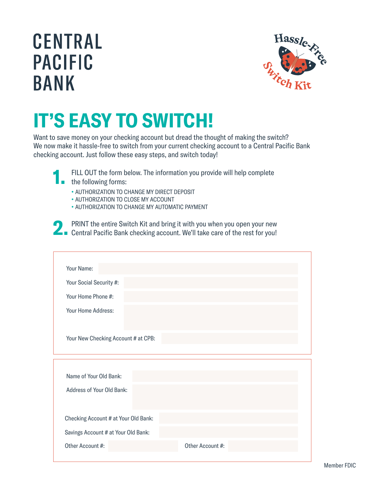## **CENTRAL PACIFIC BANK**



## IT'S EASY TO SWITCH!

Want to save money on your checking account but dread the thought of making the switch? We now make it hassle-free to switch from your current checking account to a Central Pacific Bank checking account. Just follow these easy steps, and switch today!

| D. | FILL OUT the form below. The information you provide will help complete |
|----|-------------------------------------------------------------------------|
|    | $\blacksquare$ the following forms:                                     |

- AUTHORIZATION TO CHANGE MY DIRECT DEPOSIT
- AUTHORIZATION TO CLOSE MY ACCOUNT
- AUTHORIZATION TO CHANGE MY AUTOMATIC PAYMENT



PRINT the entire Switch Kit and bring it with you when you open your new **2. PRINT** the entire Switch Kit and bring it with you when you open your new<br>**2. Central Pacific Bank checking account.** We'll take care of the rest for you!

| Your Name:                           |  |  |  |  |  |
|--------------------------------------|--|--|--|--|--|
| Your Social Security #:              |  |  |  |  |  |
| Your Home Phone #:                   |  |  |  |  |  |
| Your Home Address:                   |  |  |  |  |  |
| Your New Checking Account # at CPB:  |  |  |  |  |  |
|                                      |  |  |  |  |  |
|                                      |  |  |  |  |  |
| Name of Your Old Bank:               |  |  |  |  |  |
| Address of Your Old Bank:            |  |  |  |  |  |
| Checking Account # at Your Old Bank: |  |  |  |  |  |
| Savings Account # at Your Old Bank:  |  |  |  |  |  |